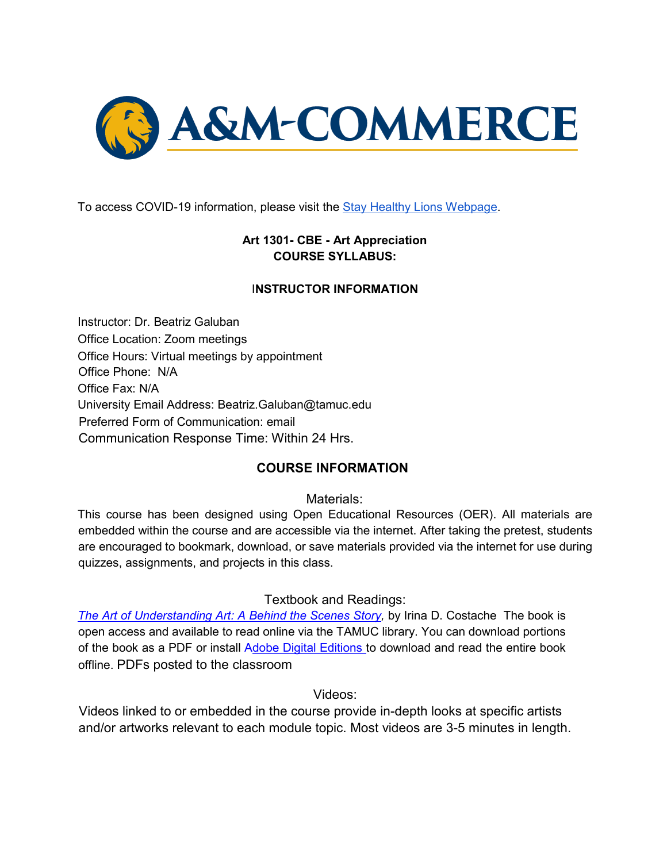

To access COVID-19 information, please visit the [Stay](https://new.tamuc.edu/coronavirus/) [Healthy Lions Webpage.](https://new.tamuc.edu/coronavirus/)

### **Art 1301- CBE - Art Appreciation COURSE SYLLABUS:**

#### I**NSTRUCTOR INFORMATION**

Instructor: Dr. Beatriz Galuban Office Location: Zoom meetings Office Hours: Virtual meetings by appointment Office Phone: N/A Office Fax: N/A University Email Address: Beatriz.Galuban@tamuc.edu Preferred Form of Communication: email Communication Response Time: Within 24 Hrs.

#### **COURSE INFORMATION**

Materials:

This course has been designed using Open Educational Resources (OER). All materials are embedded within the course and are accessible via the internet. After taking the pretest, students are encouraged to bookmark, download, or save materials provided via the internet for use during quizzes, assignments, and projects in this class.

#### Textbook and Readings:

*The Art of Understanding Art: A Behind the Scenes Story, by Irina D. Costache The book is* open access and available to read online via the TAMUC library. You can download portions of the book as a PDF or install Adobe Digital Editions to download and read the entire book offline. PDFs posted to the classroom

Videos:

Videos linked to or embedded in the course provide in-depth looks at specific artists and/or artworks relevant to each module topic. Most videos are 3-5 minutes in length.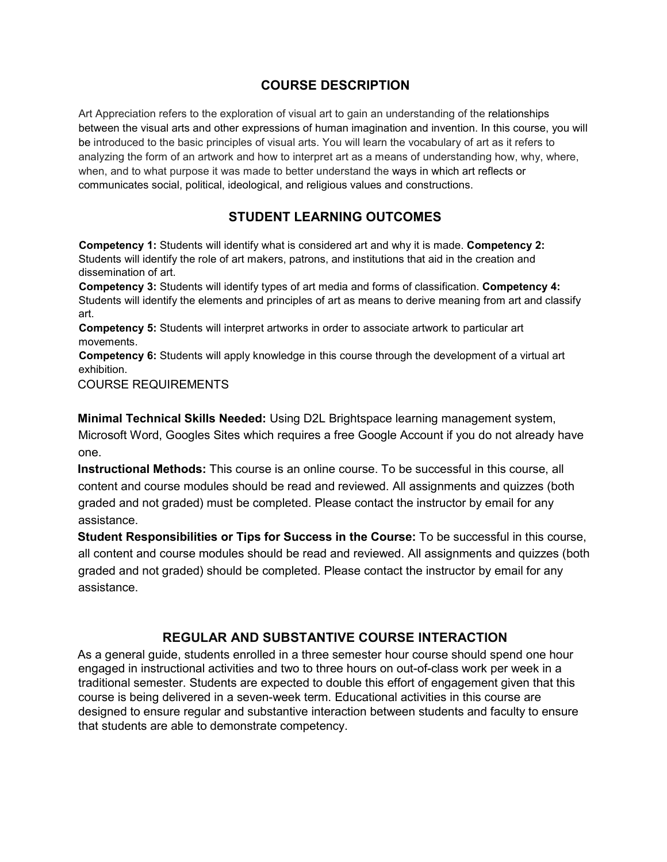#### **COURSE DESCRIPTION**

Art Appreciation refers to the exploration of visual art to gain an understanding of the relationships between the visual arts and other expressions of human imagination and invention. In this course, you will be introduced to the basic principles of visual arts. You will learn the vocabulary of art as it refers to analyzing the form of an artwork and how to interpret art as a means of understanding how, why, where, when, and to what purpose it was made to better understand the ways in which art reflects or communicates social, political, ideological, and religious values and constructions.

### **STUDENT LEARNING OUTCOMES**

**Competency 1:** Students will identify what is considered art and why it is made. **Competency 2:**  Students will identify the role of art makers, patrons, and institutions that aid in the creation and dissemination of art.

**Competency 3:** Students will identify types of art media and forms of classification. **Competency 4:**  Students will identify the elements and principles of art as means to derive meaning from art and classify art.

**Competency 5:** Students will interpret artworks in order to associate artwork to particular art movements.

**Competency 6:** Students will apply knowledge in this course through the development of a virtual art exhibition.

COURSE REQUIREMENTS

**Minimal Technical Skills Needed:** Using D2L Brightspace learning management system, Microsoft Word, Googles Sites which requires a free Google Account if you do not already have one.

**Instructional Methods:** This course is an online course. To be successful in this course, all content and course modules should be read and reviewed. All assignments and quizzes (both graded and not graded) must be completed. Please contact the instructor by email for any assistance.

**Student Responsibilities or Tips for Success in the Course:** To be successful in this course, all content and course modules should be read and reviewed. All assignments and quizzes (both graded and not graded) should be completed. Please contact the instructor by email for any assistance.

#### **REGULAR AND SUBSTANTIVE COURSE INTERACTION**

As a general guide, students enrolled in a three semester hour course should spend one hour engaged in instructional activities and two to three hours on out-of-class work per week in a traditional semester. Students are expected to double this effort of engagement given that this course is being delivered in a seven-week term. Educational activities in this course are designed to ensure regular and substantive interaction between students and faculty to ensure that students are able to demonstrate competency.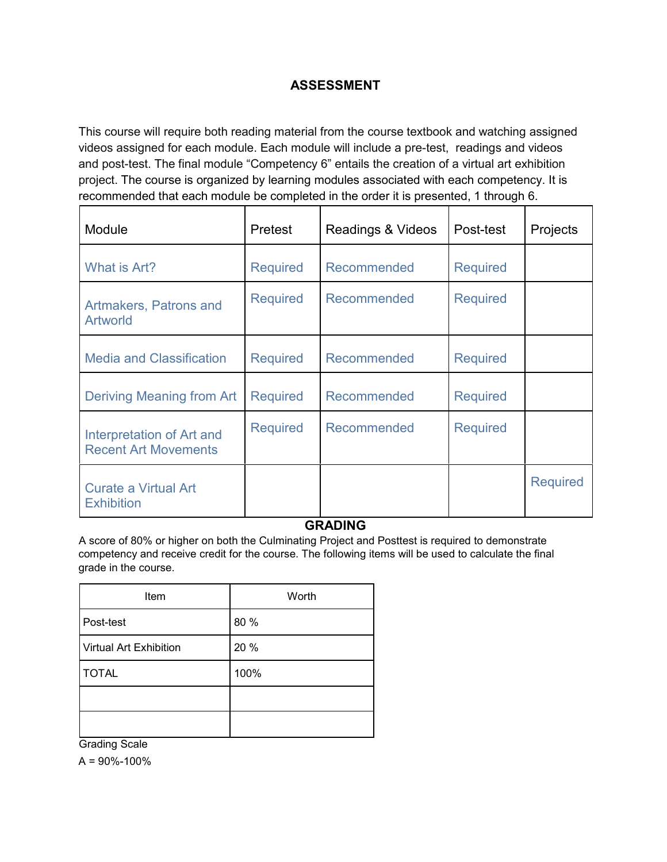### **ASSESSMENT**

This course will require both reading material from the course textbook and watching assigned videos assigned for each module. Each module will include a pre-test, readings and videos and post-test. The final module "Competency 6" entails the creation of a virtual art exhibition project. The course is organized by learning modules associated with each competency. It is recommended that each module be completed in the order it is presented, 1 through 6.

| Module                                                   | <b>Pretest</b>  | Readings & Videos | Post-test       | Projects        |
|----------------------------------------------------------|-----------------|-------------------|-----------------|-----------------|
| What is Art?                                             | <b>Required</b> | Recommended       | <b>Required</b> |                 |
| Artmakers, Patrons and<br><b>Artworld</b>                | <b>Required</b> | Recommended       | <b>Required</b> |                 |
| <b>Media and Classification</b>                          | <b>Required</b> | Recommended       | <b>Required</b> |                 |
| <b>Deriving Meaning from Art</b>                         | <b>Required</b> | Recommended       | <b>Required</b> |                 |
| Interpretation of Art and<br><b>Recent Art Movements</b> | <b>Required</b> | Recommended       | <b>Required</b> |                 |
| <b>Curate a Virtual Art</b><br><b>Exhibition</b>         |                 |                   |                 | <b>Required</b> |

#### **GRADING**

A score of 80% or higher on both the Culminating Project and Posttest is required to demonstrate competency and receive credit for the course. The following items will be used to calculate the final grade in the course.

| Item                          | Worth |
|-------------------------------|-------|
| Post-test                     | 80 %  |
| <b>Virtual Art Exhibition</b> | 20 %  |
| <b>TOTAL</b>                  | 100%  |
|                               |       |
|                               |       |

Grading Scale

 $A = 90\% - 100\%$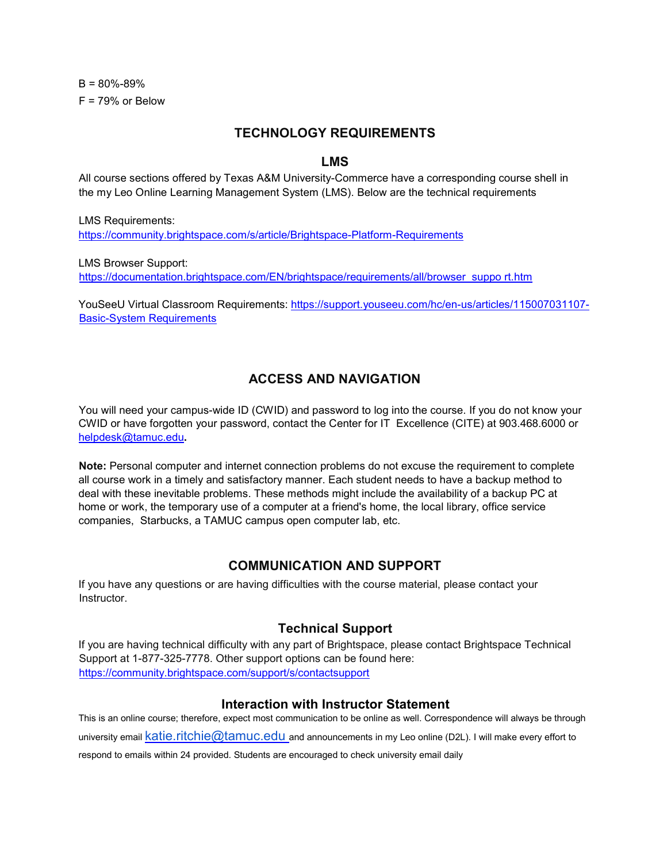$B = 80\% - 89\%$  $F = 79%$  or Below

#### **TECHNOLOGY REQUIREMENTS**

#### **LMS**

All course sections offered by Texas A&M University-Commerce have a corresponding course shell in the my Leo Online Learning Management System (LMS). Below are the technical requirements

LMS Requirements: https://community.brightspace.com/s/article/Brightspace-Platform-Requirements

LMS Browser Support: https://documentation.brightspace.com/EN/brightspace/requirements/all/browser\_suppo rt.htm

YouSeeU Virtual Classroom Requirements: https://support.youseeu.com/hc/en-us/articles/115007031107-Basic-System Requirements

#### **ACCESS AND NAVIGATION**

You will need your campus-wide ID (CWID) and password to log into the course. If you do not know your CWID or have forgotten your password, contact the Center for IT Excellence (CITE) at 903.468.6000 or helpdesk@tamuc.edu**.**

**Note:** Personal computer and internet connection problems do not excuse the requirement to complete all course work in a timely and satisfactory manner. Each student needs to have a backup method to deal with these inevitable problems. These methods might include the availability of a backup PC at home or work, the temporary use of a computer at a friend's home, the local library, office service companies, Starbucks, a TAMUC campus open computer lab, etc.

#### **COMMUNICATION AND SUPPORT**

If you have any questions or are having difficulties with the course material, please contact your Instructor.

#### **Technical Support**

If you are having technical difficulty with any part of Brightspace, please contact Brightspace Technical Support at 1-877-325-7778. Other support options can be found here: https://community.brightspace.com/support/s/contactsupport

#### **Interaction with Instructor Statement**

This is an online course; therefore, expect most communication to be online as well. Correspondence will always be through university email katie.ritchie@tamuc.edu and announcements in my Leo online (D2L). I will make every effort to respond to emails within 24 provided. Students are encouraged to check university email daily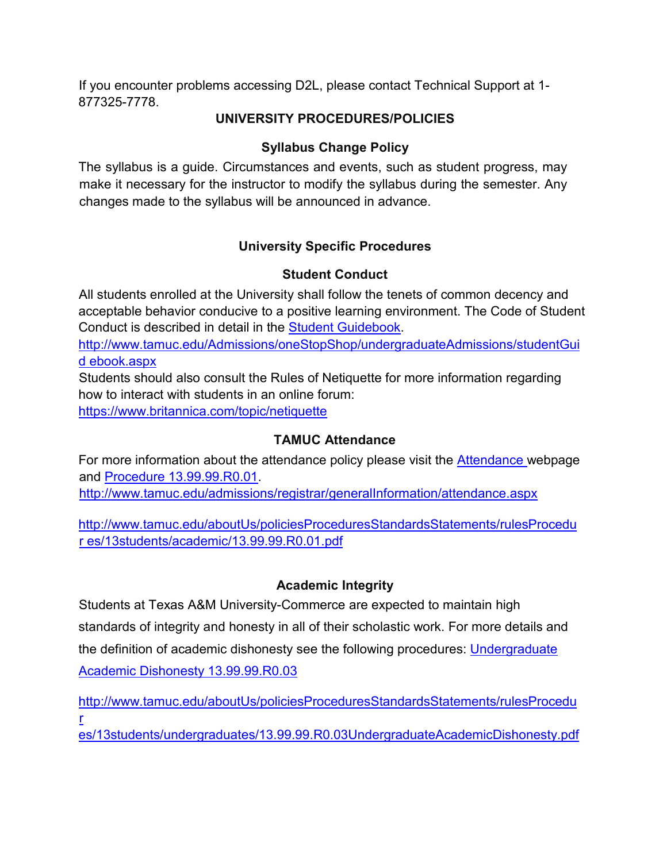If you encounter problems accessing D2L, please contact Technical Support at 1- 877325-7778.

# **UNIVERSITY PROCEDURES/POLICIES**

### **Syllabus Change Policy**

The syllabus is a guide. Circumstances and events, such as student progress, may make it necessary for the instructor to modify the syllabus during the semester. Any changes made to the syllabus will be announced in advance.

# **University Specific Procedures**

### **Student Conduct**

All students enrolled at the University shall follow the tenets of common decency and acceptable behavior conducive to a positive learning environment. The Code of Student Conduct is described in detail in the Student Guidebook.

http://www.tamuc.edu/Admissions/oneStopShop/undergraduateAdmissions/studentGui d ebook.aspx

Students should also consult the Rules of Netiquette for more information regarding how to interact with students in an online forum: https://www.britannica.com/topic/netiquette

# **TAMUC Attendance**

For more information about the attendance policy please visit the **Attendance** webpage and Procedure 13.99.99.R0.01. http://www.tamuc.edu/admissions/registrar/generalInformation/attendance.aspx

http://www.tamuc.edu/aboutUs/policiesProceduresStandardsStatements/rulesProcedu r es/13students/academic/13.99.99.R0.01.pdf

### **Academic Integrity**

Students at Texas A&M University-Commerce are expected to maintain high standards of integrity and honesty in all of their scholastic work. For more details and the definition of academic dishonesty see the following procedures: Undergraduate Academic Dishonesty 13.99.99.R0.03

http://www.tamuc.edu/aboutUs/policiesProceduresStandardsStatements/rulesProcedu r

es/13students/undergraduates/13.99.99.R0.03UndergraduateAcademicDishonesty.pdf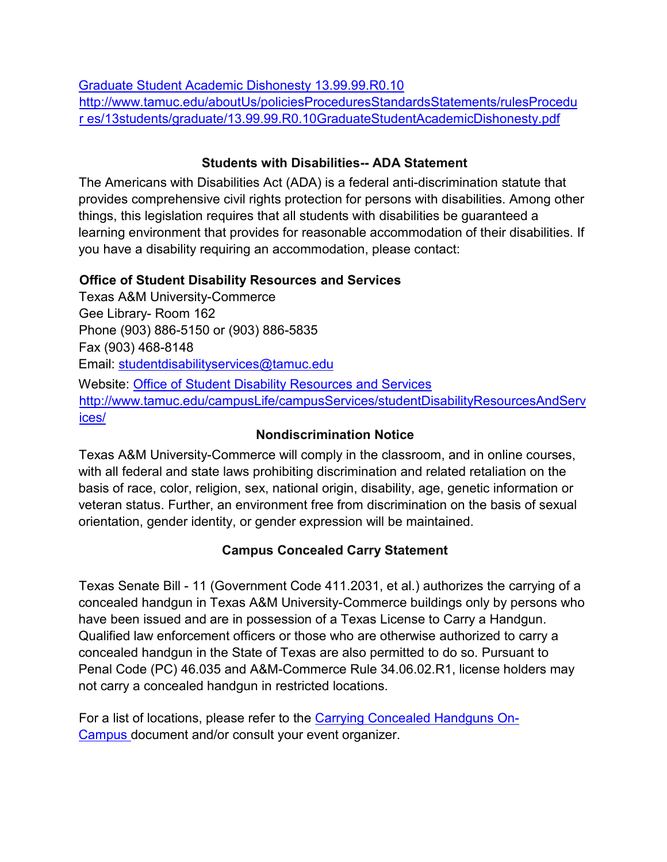Graduate Student Academic Dishonesty 13.99.99.R0.10 http://www.tamuc.edu/aboutUs/policiesProceduresStandardsStatements/rulesProcedu r es/13students/graduate/13.99.99.R0.10GraduateStudentAcademicDishonesty.pdf

#### **Students with Disabilities-- ADA Statement**

The Americans with Disabilities Act (ADA) is a federal anti-discrimination statute that provides comprehensive civil rights protection for persons with disabilities. Among other things, this legislation requires that all students with disabilities be guaranteed a learning environment that provides for reasonable accommodation of their disabilities. If you have a disability requiring an accommodation, please contact:

### **Office of Student Disability Resources and Services**

Texas A&M University-Commerce Gee Library- Room 162 Phone (903) 886-5150 or (903) 886-5835 Fax (903) 468-8148 Email: studentdisabilityservices@tamuc.edu Website: Office of Student Disability Resources and Services http://www.tamuc.edu/campusLife/campusServices/studentDisabilityResourcesAndServ ices/

### **Nondiscrimination Notice**

Texas A&M University-Commerce will comply in the classroom, and in online courses, with all federal and state laws prohibiting discrimination and related retaliation on the basis of race, color, religion, sex, national origin, disability, age, genetic information or veteran status. Further, an environment free from discrimination on the basis of sexual orientation, gender identity, or gender expression will be maintained.

# **Campus Concealed Carry Statement**

Texas Senate Bill - 11 (Government Code 411.2031, et al.) authorizes the carrying of a concealed handgun in Texas A&M University-Commerce buildings only by persons who have been issued and are in possession of a Texas License to Carry a Handgun. Qualified law enforcement officers or those who are otherwise authorized to carry a concealed handgun in the State of Texas are also permitted to do so. Pursuant to Penal Code (PC) 46.035 and A&M-Commerce Rule 34.06.02.R1, license holders may not carry a concealed handgun in restricted locations.

For a list of locations, please refer to the Carrying Concealed Handguns On-Campus document and/or consult your event organizer.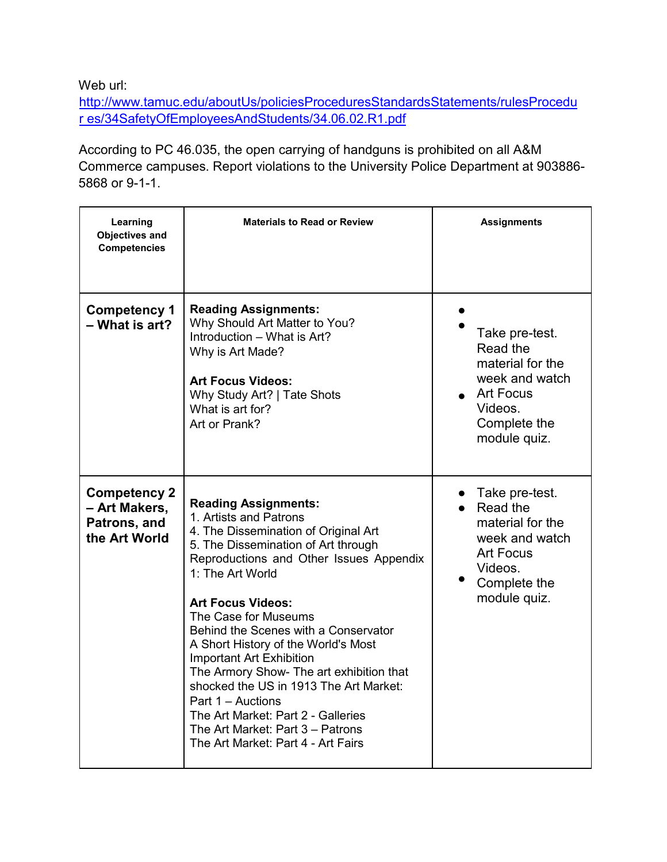Web url:

http://www.tamuc.edu/aboutUs/policiesProceduresStandardsStatements/rulesProcedu r es/34SafetyOfEmployeesAndStudents/34.06.02.R1.pdf

According to PC 46.035, the open carrying of handguns is prohibited on all A&M Commerce campuses. Report violations to the University Police Department at 903886- 5868 or 9-1-1.

| Learning<br><b>Objectives and</b><br><b>Competencies</b>              | <b>Materials to Read or Review</b>                                                                                                                                                                                                                                                                                                                                                                                                                                                                                                                                                            | <b>Assignments</b>                                                                                                              |
|-----------------------------------------------------------------------|-----------------------------------------------------------------------------------------------------------------------------------------------------------------------------------------------------------------------------------------------------------------------------------------------------------------------------------------------------------------------------------------------------------------------------------------------------------------------------------------------------------------------------------------------------------------------------------------------|---------------------------------------------------------------------------------------------------------------------------------|
| <b>Competency 1</b><br>- What is art?                                 | <b>Reading Assignments:</b><br>Why Should Art Matter to You?<br>Introduction - What is Art?<br>Why is Art Made?<br><b>Art Focus Videos:</b><br>Why Study Art?   Tate Shots<br>What is art for?<br>Art or Prank?                                                                                                                                                                                                                                                                                                                                                                               | Take pre-test.<br>Read the<br>material for the<br>week and watch<br><b>Art Focus</b><br>Videos.<br>Complete the<br>module quiz. |
| <b>Competency 2</b><br>- Art Makers,<br>Patrons, and<br>the Art World | <b>Reading Assignments:</b><br>1. Artists and Patrons<br>4. The Dissemination of Original Art<br>5. The Dissemination of Art through<br>Reproductions and Other Issues Appendix<br>1: The Art World<br><b>Art Focus Videos:</b><br>The Case for Museums<br>Behind the Scenes with a Conservator<br>A Short History of the World's Most<br>Important Art Exhibition<br>The Armory Show- The art exhibition that<br>shocked the US in 1913 The Art Market:<br>Part 1 - Auctions<br>The Art Market: Part 2 - Galleries<br>The Art Market: Part 3 - Patrons<br>The Art Market: Part 4 - Art Fairs | Take pre-test.<br>Read the<br>material for the<br>week and watch<br><b>Art Focus</b><br>Videos.<br>Complete the<br>module quiz. |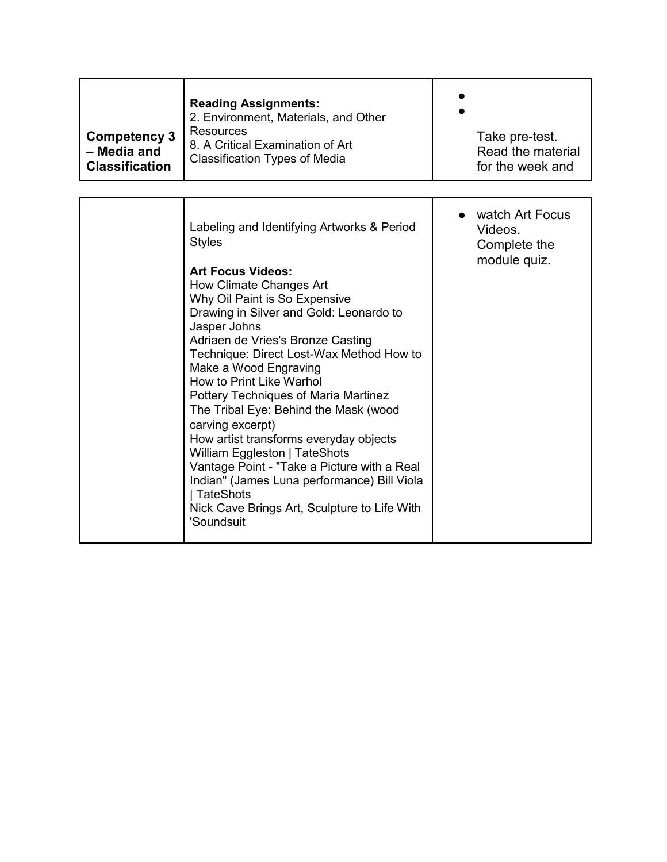| <b>Competency 3</b><br>- Media and<br><b>Classification</b> | <b>Reading Assignments:</b><br>2. Environment, Materials, and Other<br>Resources<br>8. A Critical Examination of Art<br><b>Classification Types of Media</b> | Take pre-test.<br>Read the material<br>for the week and |
|-------------------------------------------------------------|--------------------------------------------------------------------------------------------------------------------------------------------------------------|---------------------------------------------------------|
|-------------------------------------------------------------|--------------------------------------------------------------------------------------------------------------------------------------------------------------|---------------------------------------------------------|

| Labeling and Identifying Artworks & Period<br><b>Styles</b><br><b>Art Focus Videos:</b><br>How Climate Changes Art<br>Why Oil Paint is So Expensive<br>Drawing in Silver and Gold: Leonardo to<br>Jasper Johns<br>Adriaen de Vries's Bronze Casting<br>Technique: Direct Lost-Wax Method How to<br>Make a Wood Engraving<br>How to Print Like Warhol<br><b>Pottery Techniques of Maria Martinez</b><br>The Tribal Eye: Behind the Mask (wood<br>carving excerpt)<br>How artist transforms everyday objects<br>William Eggleston   TateShots<br>Vantage Point - "Take a Picture with a Real<br>Indian" (James Luna performance) Bill Viola<br>  TateShots<br>Nick Cave Brings Art, Sculpture to Life With<br>'Soundsuit | watch Art Focus<br>Videos.<br>Complete the<br>module quiz. |
|------------------------------------------------------------------------------------------------------------------------------------------------------------------------------------------------------------------------------------------------------------------------------------------------------------------------------------------------------------------------------------------------------------------------------------------------------------------------------------------------------------------------------------------------------------------------------------------------------------------------------------------------------------------------------------------------------------------------|------------------------------------------------------------|
|------------------------------------------------------------------------------------------------------------------------------------------------------------------------------------------------------------------------------------------------------------------------------------------------------------------------------------------------------------------------------------------------------------------------------------------------------------------------------------------------------------------------------------------------------------------------------------------------------------------------------------------------------------------------------------------------------------------------|------------------------------------------------------------|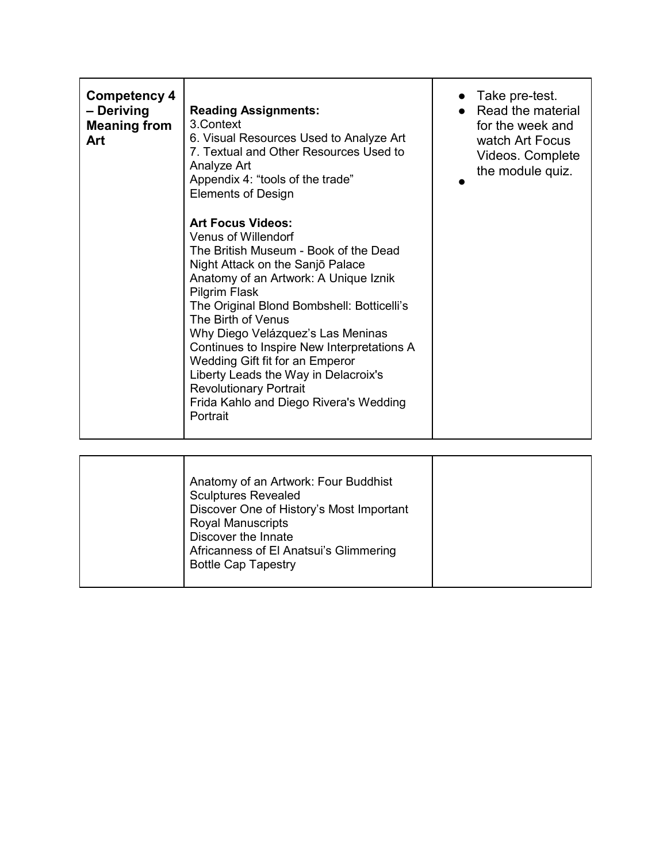| Competency 4<br>– Deriving<br><b>Meaning from</b><br>Art | <b>Reading Assignments:</b><br>3. Context<br>6. Visual Resources Used to Analyze Art<br>7. Textual and Other Resources Used to<br>Analyze Art<br>Appendix 4: "tools of the trade"<br><b>Elements of Design</b>                                                                                                                                                                                                                                                                                                  | Take pre-test.<br>Read the material<br>for the week and<br>watch Art Focus<br>Videos. Complete<br>the module quiz. |
|----------------------------------------------------------|-----------------------------------------------------------------------------------------------------------------------------------------------------------------------------------------------------------------------------------------------------------------------------------------------------------------------------------------------------------------------------------------------------------------------------------------------------------------------------------------------------------------|--------------------------------------------------------------------------------------------------------------------|
|                                                          | <b>Art Focus Videos:</b><br>Venus of Willendorf<br>The British Museum - Book of the Dead<br>Night Attack on the Sanjō Palace<br>Anatomy of an Artwork: A Unique Iznik<br>Pilgrim Flask<br>The Original Blond Bombshell: Botticelli's<br>The Birth of Venus<br>Why Diego Velázquez's Las Meninas<br>Continues to Inspire New Interpretations A<br>Wedding Gift fit for an Emperor<br>Liberty Leads the Way in Delacroix's<br><b>Revolutionary Portrait</b><br>Frida Kahlo and Diego Rivera's Wedding<br>Portrait |                                                                                                                    |

| Anatomy of an Artwork: Four Buddhist<br><b>Sculptures Revealed</b><br>Discover One of History's Most Important<br><b>Royal Manuscripts</b><br>Discover the Innate<br>Africanness of El Anatsui's Glimmering<br><b>Bottle Cap Tapestry</b> |  |
|-------------------------------------------------------------------------------------------------------------------------------------------------------------------------------------------------------------------------------------------|--|
|-------------------------------------------------------------------------------------------------------------------------------------------------------------------------------------------------------------------------------------------|--|